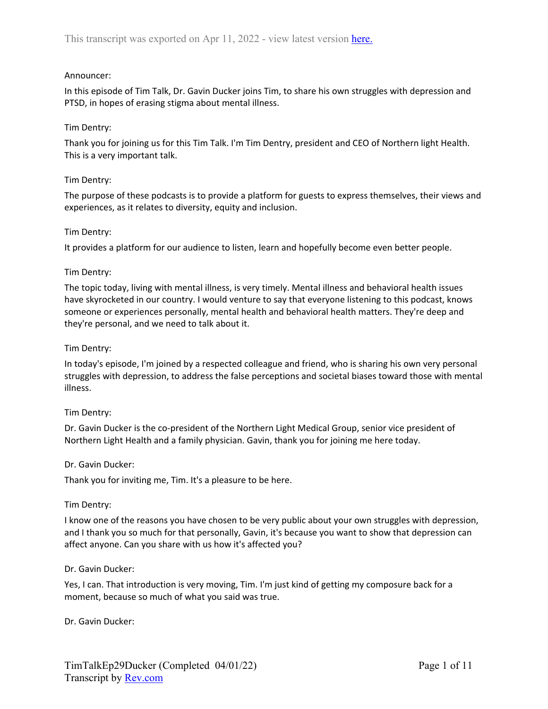# Announcer:

In this episode of Tim Talk, Dr. Gavin Ducker joins Tim, to share his own struggles with depression and PTSD, in hopes of erasing stigma about mental illness.

# Tim Dentry:

Thank you for joining us for this Tim Talk. I'm Tim Dentry, president and CEO of Northern light Health. This is a very important talk.

# Tim Dentry:

The purpose of these podcasts is to provide a platform for guests to express themselves, their views and experiences, as it relates to diversity, equity and inclusion.

# Tim Dentry:

It provides a platform for our audience to listen, learn and hopefully become even better people.

# Tim Dentry:

The topic today, living with mental illness, is very timely. Mental illness and behavioral health issues have skyrocketed in our country. I would venture to say that everyone listening to this podcast, knows someone or experiences personally, mental health and behavioral health matters. They're deep and they're personal, and we need to talk about it.

# Tim Dentry:

In today's episode, I'm joined by a respected colleague and friend, who is sharing his own very personal struggles with depression, to address the false perceptions and societal biases toward those with mental illness.

# Tim Dentry:

Dr. Gavin Ducker is the co-president of the Northern Light Medical Group, senior vice president of Northern Light Health and a family physician. Gavin, thank you for joining me here today.

# Dr. Gavin Ducker:

Thank you for inviting me, Tim. It's a pleasure to be here.

# Tim Dentry:

I know one of the reasons you have chosen to be very public about your own struggles with depression, and I thank you so much for that personally, Gavin, it's because you want to show that depression can affect anyone. Can you share with us how it's affected you?

# Dr. Gavin Ducker:

Yes, I can. That introduction is very moving, Tim. I'm just kind of getting my composure back for a moment, because so much of what you said was true.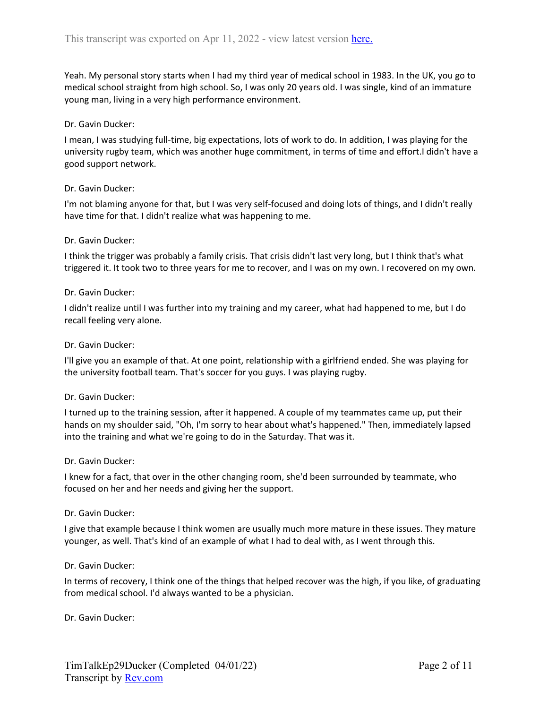Yeah. My personal story starts when I had my third year of medical school in 1983. In the UK, you go to medical school straight from high school. So, I was only 20 years old. I was single, kind of an immature young man, living in a very high performance environment.

## Dr. Gavin Ducker:

I mean, I was studying full-time, big expectations, lots of work to do. In addition, I was playing for the university rugby team, which was another huge commitment, in terms of time and effort.I didn't have a good support network.

## Dr. Gavin Ducker:

I'm not blaming anyone for that, but I was very self-focused and doing lots of things, and I didn't really have time for that. I didn't realize what was happening to me.

## Dr. Gavin Ducker:

I think the trigger was probably a family crisis. That crisis didn't last very long, but I think that's what triggered it. It took two to three years for me to recover, and I was on my own. I recovered on my own.

#### Dr. Gavin Ducker:

I didn't realize until I was further into my training and my career, what had happened to me, but I do recall feeling very alone.

## Dr. Gavin Ducker:

I'll give you an example of that. At one point, relationship with a girlfriend ended. She was playing for the university football team. That's soccer for you guys. I was playing rugby.

#### Dr. Gavin Ducker:

I turned up to the training session, after it happened. A couple of my teammates came up, put their hands on my shoulder said, "Oh, I'm sorry to hear about what's happened." Then, immediately lapsed into the training and what we're going to do in the Saturday. That was it.

#### Dr. Gavin Ducker:

I knew for a fact, that over in the other changing room, she'd been surrounded by teammate, who focused on her and her needs and giving her the support.

#### Dr. Gavin Ducker:

I give that example because I think women are usually much more mature in these issues. They mature younger, as well. That's kind of an example of what I had to deal with, as I went through this.

#### Dr. Gavin Ducker:

In terms of recovery, I think one of the things that helped recover was the high, if you like, of graduating from medical school. I'd always wanted to be a physician.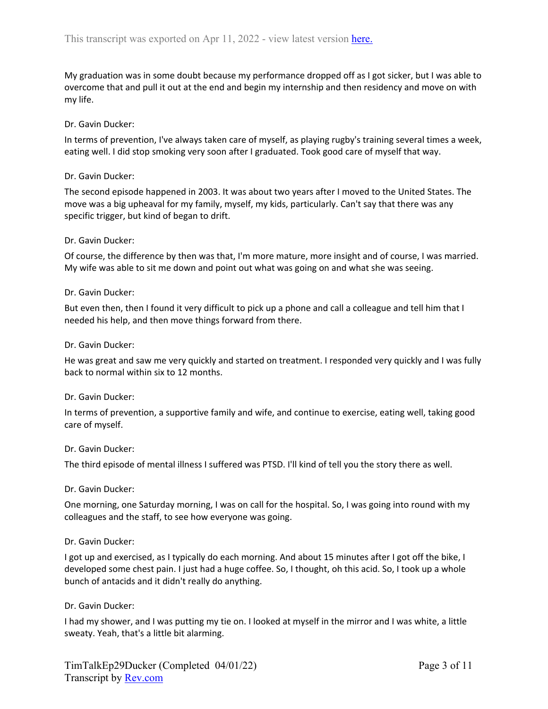My graduation was in some doubt because my performance dropped off as I got sicker, but I was able to overcome that and pull it out at the end and begin my internship and then residency and move on with my life.

# Dr. Gavin Ducker:

In terms of prevention, I've always taken care of myself, as playing rugby's training several times a week, eating well. I did stop smoking very soon after I graduated. Took good care of myself that way.

# Dr. Gavin Ducker:

The second episode happened in 2003. It was about two years after I moved to the United States. The move was a big upheaval for my family, myself, my kids, particularly. Can't say that there was any specific trigger, but kind of began to drift.

# Dr. Gavin Ducker:

Of course, the difference by then was that, I'm more mature, more insight and of course, I was married. My wife was able to sit me down and point out what was going on and what she was seeing.

## Dr. Gavin Ducker:

But even then, then I found it very difficult to pick up a phone and call a colleague and tell him that I needed his help, and then move things forward from there.

## Dr. Gavin Ducker:

He was great and saw me very quickly and started on treatment. I responded very quickly and I was fully back to normal within six to 12 months.

# Dr. Gavin Ducker:

In terms of prevention, a supportive family and wife, and continue to exercise, eating well, taking good care of myself.

#### Dr. Gavin Ducker:

The third episode of mental illness I suffered was PTSD. I'll kind of tell you the story there as well.

# Dr. Gavin Ducker:

One morning, one Saturday morning, I was on call for the hospital. So, I was going into round with my colleagues and the staff, to see how everyone was going.

# Dr. Gavin Ducker:

I got up and exercised, as I typically do each morning. And about 15 minutes after I got off the bike, I developed some chest pain. I just had a huge coffee. So, I thought, oh this acid. So, I took up a whole bunch of antacids and it didn't really do anything.

# Dr. Gavin Ducker:

I had my shower, and I was putting my tie on. I looked at myself in the mirror and I was white, a little sweaty. Yeah, that's a little bit alarming.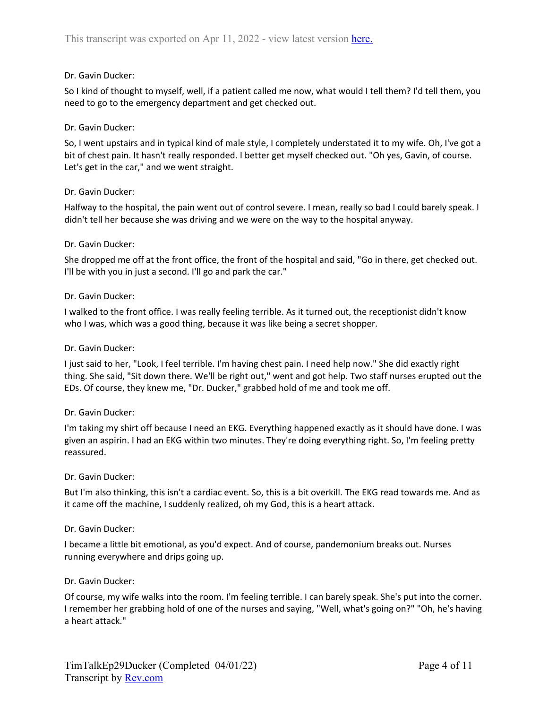# Dr. Gavin Ducker:

So I kind of thought to myself, well, if a patient called me now, what would I tell them? I'd tell them, you need to go to the emergency department and get checked out.

# Dr. Gavin Ducker:

So, I went upstairs and in typical kind of male style, I completely understated it to my wife. Oh, I've got a bit of chest pain. It hasn't really responded. I better get myself checked out. "Oh yes, Gavin, of course. Let's get in the car," and we went straight.

# Dr. Gavin Ducker:

Halfway to the hospital, the pain went out of control severe. I mean, really so bad I could barely speak. I didn't tell her because she was driving and we were on the way to the hospital anyway.

# Dr. Gavin Ducker:

She dropped me off at the front office, the front of the hospital and said, "Go in there, get checked out. I'll be with you in just a second. I'll go and park the car."

# Dr. Gavin Ducker:

I walked to the front office. I was really feeling terrible. As it turned out, the receptionist didn't know who I was, which was a good thing, because it was like being a secret shopper.

# Dr. Gavin Ducker:

I just said to her, "Look, I feel terrible. I'm having chest pain. I need help now." She did exactly right thing. She said, "Sit down there. We'll be right out," went and got help. Two staff nurses erupted out the EDs. Of course, they knew me, "Dr. Ducker," grabbed hold of me and took me off.

# Dr. Gavin Ducker:

I'm taking my shirt off because I need an EKG. Everything happened exactly as it should have done. I was given an aspirin. I had an EKG within two minutes. They're doing everything right. So, I'm feeling pretty reassured.

# Dr. Gavin Ducker:

But I'm also thinking, this isn't a cardiac event. So, this is a bit overkill. The EKG read towards me. And as it came off the machine, I suddenly realized, oh my God, this is a heart attack.

# Dr. Gavin Ducker:

I became a little bit emotional, as you'd expect. And of course, pandemonium breaks out. Nurses running everywhere and drips going up.

# Dr. Gavin Ducker:

Of course, my wife walks into the room. I'm feeling terrible. I can barely speak. She's put into the corner. I remember her grabbing hold of one of the nurses and saying, "Well, what's going on?" "Oh, he's having a heart attack."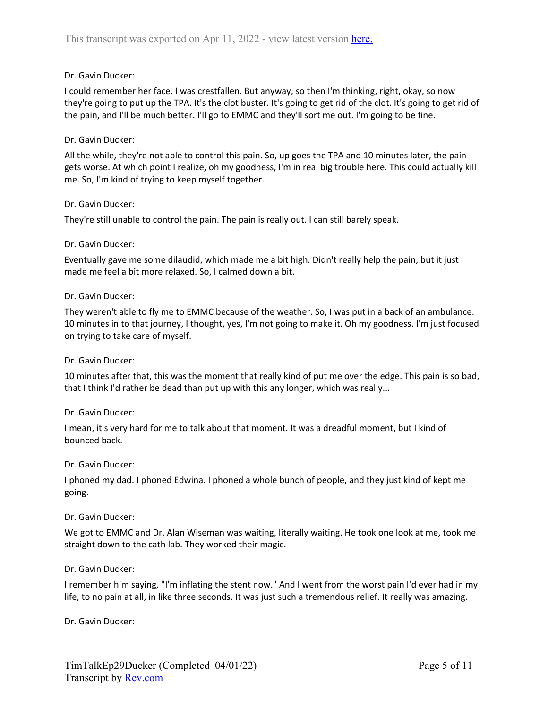# Dr. Gavin Ducker:

I could remember her face. I was crestfallen. But anyway, so then I'm thinking, right, okay, so now they're going to put up the TPA. It's the clot buster. It's going to get rid of the clot. It's going to get rid of the pain, and I'll be much better. I'll go to EMMC and they'll sort me out. I'm going to be fine.

# Dr. Gavin Ducker:

All the while, they're not able to control this pain. So, up goes the TPA and 10 minutes later, the pain gets worse. At which point I realize, oh my goodness, I'm in real big trouble here. This could actually kill me. So, I'm kind of trying to keep myself together.

# Dr. Gavin Ducker:

They're still unable to control the pain. The pain is really out. I can still barely speak.

# Dr. Gavin Ducker:

Eventually gave me some dilaudid, which made me a bit high. Didn't really help the pain, but it just made me feel a bit more relaxed. So, I calmed down a bit.

## Dr. Gavin Ducker:

They weren't able to fly me to EMMC because of the weather. So, I was put in a back of an ambulance. 10 minutes in to that journey, I thought, yes, I'm not going to make it. Oh my goodness. I'm just focused on trying to take care of myself.

# Dr. Gavin Ducker:

10 minutes after that, this was the moment that really kind of put me over the edge. This pain is so bad, that I think I'd rather be dead than put up with this any longer, which was really...

# Dr. Gavin Ducker:

I mean, it's very hard for me to talk about that moment. It was a dreadful moment, but I kind of bounced back.

# Dr. Gavin Ducker:

I phoned my dad. I phoned Edwina. I phoned a whole bunch of people, and they just kind of kept me going.

# Dr. Gavin Ducker:

We got to EMMC and Dr. Alan Wiseman was waiting, literally waiting. He took one look at me, took me straight down to the cath lab. They worked their magic.

# Dr. Gavin Ducker:

I remember him saying, "I'm inflating the stent now." And I went from the worst pain I'd ever had in my life, to no pain at all, in like three seconds. It was just such a tremendous relief. It really was amazing.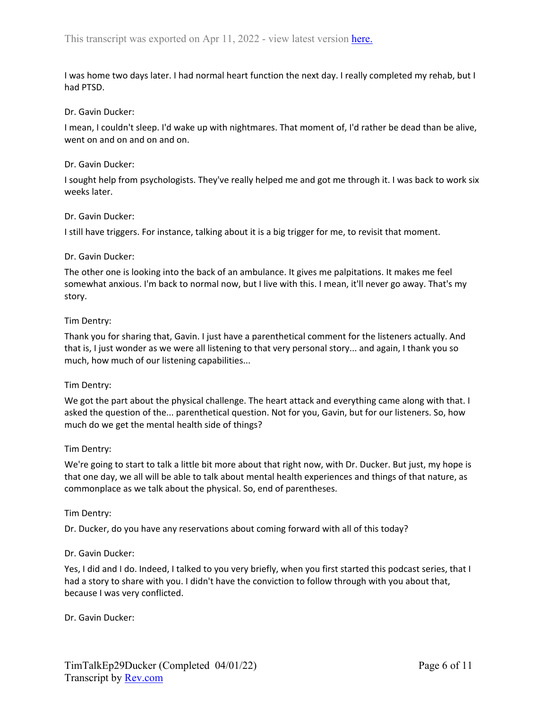I was home two days later. I had normal heart function the next day. I really completed my rehab, but I had PTSD.

## Dr. Gavin Ducker:

I mean, I couldn't sleep. I'd wake up with nightmares. That moment of, I'd rather be dead than be alive, went on and on and on and on.

### Dr. Gavin Ducker:

I sought help from psychologists. They've really helped me and got me through it. I was back to work six weeks later.

## Dr. Gavin Ducker:

I still have triggers. For instance, talking about it is a big trigger for me, to revisit that moment.

## Dr. Gavin Ducker:

The other one is looking into the back of an ambulance. It gives me palpitations. It makes me feel somewhat anxious. I'm back to normal now, but I live with this. I mean, it'll never go away. That's my story.

## Tim Dentry:

Thank you for sharing that, Gavin. I just have a parenthetical comment for the listeners actually. And that is, I just wonder as we were all listening to that very personal story... and again, I thank you so much, how much of our listening capabilities...

#### Tim Dentry:

We got the part about the physical challenge. The heart attack and everything came along with that. I asked the question of the... parenthetical question. Not for you, Gavin, but for our listeners. So, how much do we get the mental health side of things?

# Tim Dentry:

We're going to start to talk a little bit more about that right now, with Dr. Ducker. But just, my hope is that one day, we all will be able to talk about mental health experiences and things of that nature, as commonplace as we talk about the physical. So, end of parentheses.

#### Tim Dentry:

Dr. Ducker, do you have any reservations about coming forward with all of this today?

#### Dr. Gavin Ducker:

Yes, I did and I do. Indeed, I talked to you very briefly, when you first started this podcast series, that I had a story to share with you. I didn't have the conviction to follow through with you about that, because I was very conflicted.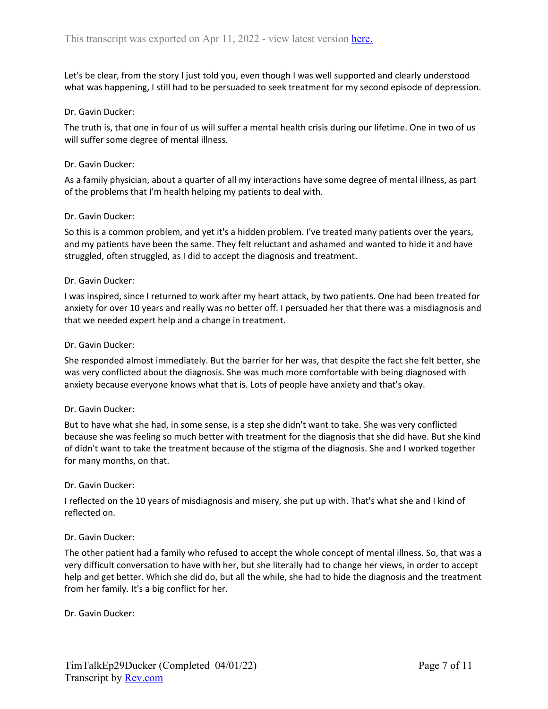Let's be clear, from the story I just told you, even though I was well supported and clearly understood what was happening, I still had to be persuaded to seek treatment for my second episode of depression.

## Dr. Gavin Ducker:

The truth is, that one in four of us will suffer a mental health crisis during our lifetime. One in two of us will suffer some degree of mental illness.

### Dr. Gavin Ducker:

As a family physician, about a quarter of all my interactions have some degree of mental illness, as part of the problems that I'm health helping my patients to deal with.

## Dr. Gavin Ducker:

So this is a common problem, and yet it's a hidden problem. I've treated many patients over the years, and my patients have been the same. They felt reluctant and ashamed and wanted to hide it and have struggled, often struggled, as I did to accept the diagnosis and treatment.

## Dr. Gavin Ducker:

I was inspired, since I returned to work after my heart attack, by two patients. One had been treated for anxiety for over 10 years and really was no better off. I persuaded her that there was a misdiagnosis and that we needed expert help and a change in treatment.

## Dr. Gavin Ducker:

She responded almost immediately. But the barrier for her was, that despite the fact she felt better, she was very conflicted about the diagnosis. She was much more comfortable with being diagnosed with anxiety because everyone knows what that is. Lots of people have anxiety and that's okay.

#### Dr. Gavin Ducker:

But to have what she had, in some sense, is a step she didn't want to take. She was very conflicted because she was feeling so much better with treatment for the diagnosis that she did have. But she kind of didn't want to take the treatment because of the stigma of the diagnosis. She and I worked together for many months, on that.

#### Dr. Gavin Ducker:

I reflected on the 10 years of misdiagnosis and misery, she put up with. That's what she and I kind of reflected on.

#### Dr. Gavin Ducker:

The other patient had a family who refused to accept the whole concept of mental illness. So, that was a very difficult conversation to have with her, but she literally had to change her views, in order to accept help and get better. Which she did do, but all the while, she had to hide the diagnosis and the treatment from her family. It's a big conflict for her.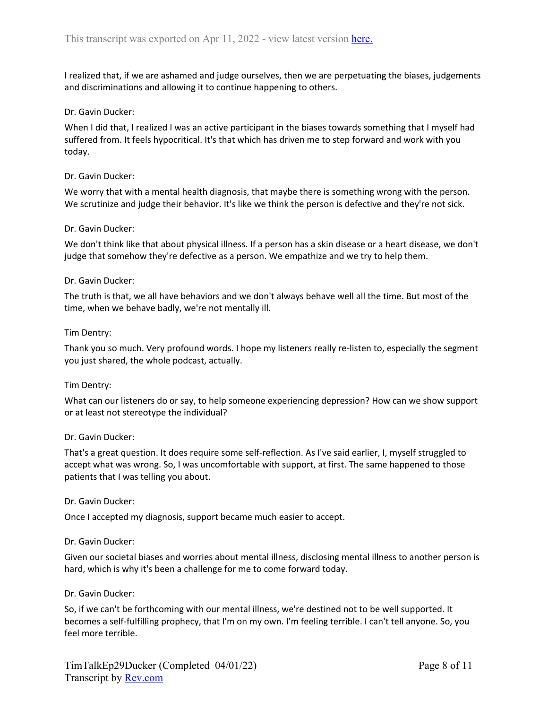I realized that, if we are ashamed and judge ourselves, then we are perpetuating the biases, judgements and discriminations and allowing it to continue happening to others.

# Dr. Gavin Ducker:

When I did that, I realized I was an active participant in the biases towards something that I myself had suffered from. It feels hypocritical. It's that which has driven me to step forward and work with you today.

### Dr. Gavin Ducker:

We worry that with a mental health diagnosis, that maybe there is something wrong with the person. We scrutinize and judge their behavior. It's like we think the person is defective and they're not sick.

## Dr. Gavin Ducker:

We don't think like that about physical illness. If a person has a skin disease or a heart disease, we don't judge that somehow they're defective as a person. We empathize and we try to help them.

## Dr. Gavin Ducker:

The truth is that, we all have behaviors and we don't always behave well all the time. But most of the time, when we behave badly, we're not mentally ill.

## Tim Dentry:

Thank you so much. Very profound words. I hope my listeners really re-listen to, especially the segment you just shared, the whole podcast, actually.

#### Tim Dentry:

What can our listeners do or say, to help someone experiencing depression? How can we show support or at least not stereotype the individual?

#### Dr. Gavin Ducker:

That's a great question. It does require some self-reflection. As I've said earlier, I, myself struggled to accept what was wrong. So, I was uncomfortable with support, at first. The same happened to those patients that I was telling you about.

#### Dr. Gavin Ducker:

Once I accepted my diagnosis, support became much easier to accept.

# Dr. Gavin Ducker:

Given our societal biases and worries about mental illness, disclosing mental illness to another person is hard, which is why it's been a challenge for me to come forward today.

#### Dr. Gavin Ducker:

So, if we can't be forthcoming with our mental illness, we're destined not to be well supported. It becomes a self-fulfilling prophecy, that I'm on my own. I'm feeling terrible. I can't tell anyone. So, you feel more terrible.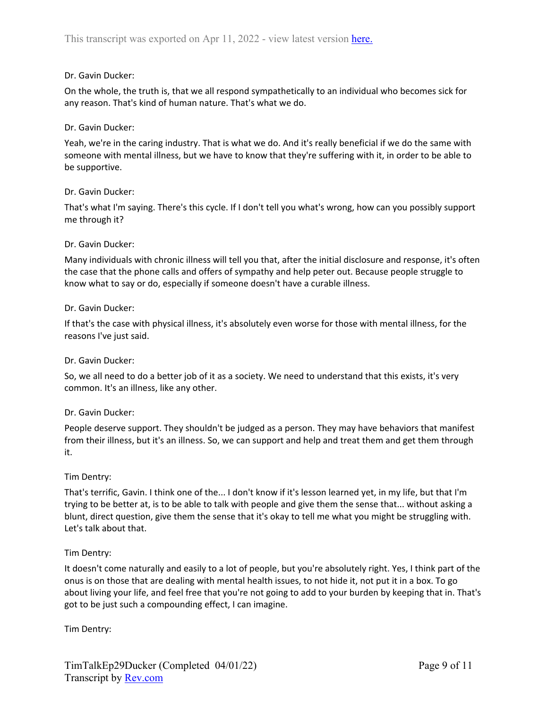# Dr. Gavin Ducker:

On the whole, the truth is, that we all respond sympathetically to an individual who becomes sick for any reason. That's kind of human nature. That's what we do.

# Dr. Gavin Ducker:

Yeah, we're in the caring industry. That is what we do. And it's really beneficial if we do the same with someone with mental illness, but we have to know that they're suffering with it, in order to be able to be supportive.

# Dr. Gavin Ducker:

That's what I'm saying. There's this cycle. If I don't tell you what's wrong, how can you possibly support me through it?

# Dr. Gavin Ducker:

Many individuals with chronic illness will tell you that, after the initial disclosure and response, it's often the case that the phone calls and offers of sympathy and help peter out. Because people struggle to know what to say or do, especially if someone doesn't have a curable illness.

# Dr. Gavin Ducker:

If that's the case with physical illness, it's absolutely even worse for those with mental illness, for the reasons I've just said.

# Dr. Gavin Ducker:

So, we all need to do a better job of it as a society. We need to understand that this exists, it's very common. It's an illness, like any other.

# Dr. Gavin Ducker:

People deserve support. They shouldn't be judged as a person. They may have behaviors that manifest from their illness, but it's an illness. So, we can support and help and treat them and get them through it.

# Tim Dentry:

That's terrific, Gavin. I think one of the... I don't know if it's lesson learned yet, in my life, but that I'm trying to be better at, is to be able to talk with people and give them the sense that... without asking a blunt, direct question, give them the sense that it's okay to tell me what you might be struggling with. Let's talk about that.

# Tim Dentry:

It doesn't come naturally and easily to a lot of people, but you're absolutely right. Yes, I think part of the onus is on those that are dealing with mental health issues, to not hide it, not put it in a box. To go about living your life, and feel free that you're not going to add to your burden by keeping that in. That's got to be just such a compounding effect, I can imagine.

Tim Dentry: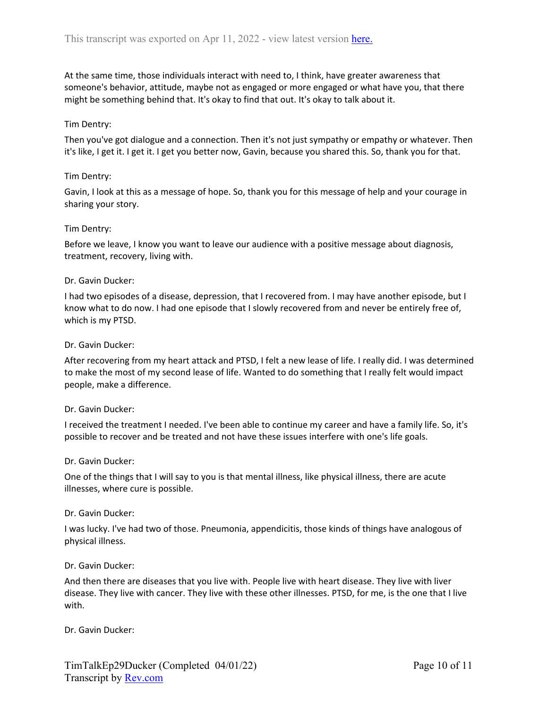At the same time, those individuals interact with need to, I think, have greater awareness that someone's behavior, attitude, maybe not as engaged or more engaged or what have you, that there might be something behind that. It's okay to find that out. It's okay to talk about it.

# Tim Dentry:

Then you've got dialogue and a connection. Then it's not just sympathy or empathy or whatever. Then it's like, I get it. I get it. I get you better now, Gavin, because you shared this. So, thank you for that.

### Tim Dentry:

Gavin, I look at this as a message of hope. So, thank you for this message of help and your courage in sharing your story.

## Tim Dentry:

Before we leave, I know you want to leave our audience with a positive message about diagnosis, treatment, recovery, living with.

## Dr. Gavin Ducker:

I had two episodes of a disease, depression, that I recovered from. I may have another episode, but I know what to do now. I had one episode that I slowly recovered from and never be entirely free of, which is my PTSD.

## Dr. Gavin Ducker:

After recovering from my heart attack and PTSD, I felt a new lease of life. I really did. I was determined to make the most of my second lease of life. Wanted to do something that I really felt would impact people, make a difference.

#### Dr. Gavin Ducker:

I received the treatment I needed. I've been able to continue my career and have a family life. So, it's possible to recover and be treated and not have these issues interfere with one's life goals.

#### Dr. Gavin Ducker:

One of the things that I will say to you is that mental illness, like physical illness, there are acute illnesses, where cure is possible.

#### Dr. Gavin Ducker:

I was lucky. I've had two of those. Pneumonia, appendicitis, those kinds of things have analogous of physical illness.

#### Dr. Gavin Ducker:

And then there are diseases that you live with. People live with heart disease. They live with liver disease. They live with cancer. They live with these other illnesses. PTSD, for me, is the one that I live with.